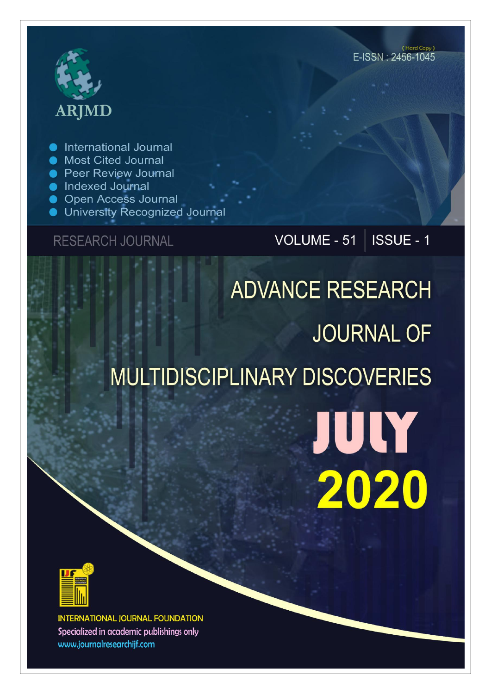# **ARJMD**

International Journal

- Most Cited Journal
- **Peer Review Journal**
- lndexed Journal
- Open Access Journal
- University Recognized Journal

#### **RESEARCH JOURNAL**

### VOLUME - 51 | ISSUE - 1

(Hard Copy)

E-ISSN: 2456-1045

## **ADVANCE RESEARCH JOURNAL OF** MULTIDISCIPLINARY DISCOVERIES

JULY 2020



**INTERNATIONAL JOURNAL FOUNDATION** Specialized in academic publishings only www.journalresearchijf.com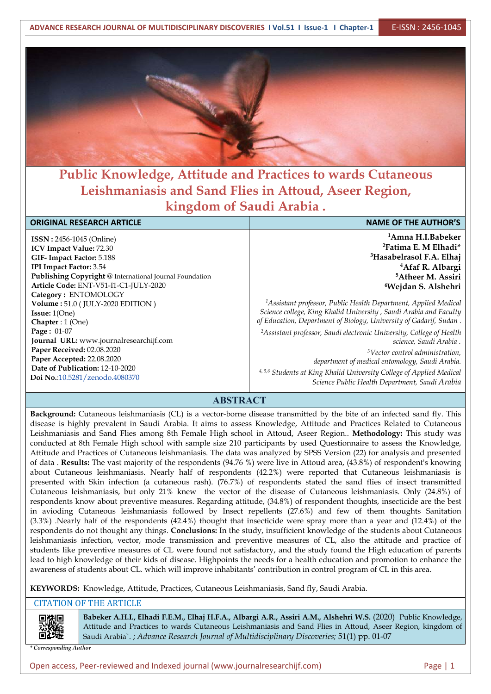

#### **Public Knowledge, Attitude and Practices to wards Cutaneous Leishmaniasis and Sand Flies in Attoud, Aseer Region, kingdom of Saudi Arabia .**

| <b>ORIGINAL RESEARCH ARTICLE</b>                        | <b>NAME OF THE AUTHOR'S</b>                                                      |  |  |  |
|---------------------------------------------------------|----------------------------------------------------------------------------------|--|--|--|
| <b>ISSN: 2456-1045 (Online)</b>                         | <sup>1</sup> Amna H.I.Babeker                                                    |  |  |  |
| <b>ICV Impact Value: 72.30</b>                          | <sup>2</sup> Fatima E. M Elhadi <sup>*</sup>                                     |  |  |  |
| GIF-Impact Factor: 5.188                                | <sup>3</sup> Hasabelrasol F.A. Elhaj                                             |  |  |  |
| <b>IPI Impact Factor: 3.54</b>                          | <sup>4</sup> Afaf R. Albargi                                                     |  |  |  |
| Publishing Copyright @ International Journal Foundation | <sup>5</sup> Atheer M. Assiri                                                    |  |  |  |
| Article Code: ENT-V51-I1-C1-JULY-2020                   | <sup>6</sup> Wejdan S. Alshehri                                                  |  |  |  |
| Category: ENTOMOLOGY                                    |                                                                                  |  |  |  |
| Volume: 51.0 (JULY-2020 EDITION)                        | <sup>1</sup> Assistant professor, Public Health Department, Applied Medical      |  |  |  |
| <b>Issue:</b> $1(One)$                                  | Science college, King Khalid University, Saudi Arabia and Faculty                |  |  |  |
| Chapter : $1$ (One)                                     | of Education, Department of Biology, University of Gadarif, Sudan.               |  |  |  |
| <b>Page: <math>01-07</math></b>                         | <sup>2</sup> Assistant professor, Saudi electronic University, College of Health |  |  |  |
| Journal URL: www.journalresearchijf.com                 | science, Saudi Arabia.                                                           |  |  |  |
| Paper Received: 02.08.2020                              | <sup>3</sup> Vector control administration,                                      |  |  |  |
| Paper Accepted: 22.08.2020                              | department of medical entomology, Saudi Arabia.                                  |  |  |  |
| Date of Publication: 12-10-2020                         | 4,5,6 Students at King Khalid University College of Applied Medical              |  |  |  |
| Doi No.:10.5281/zenodo.4080370                          | Science Public Health Department, Saudi Arabia                                   |  |  |  |
|                                                         |                                                                                  |  |  |  |

#### **ABSTRACT**

**Background:** Cutaneous leishmaniasis (CL) is a vector-borne disease transmitted by the bite of an infected sand fly. This disease is highly prevalent in Saudi Arabia. It aims to assess Knowledge, Attitude and Practices Related to Cutaneous Leishmaniasis and Sand Flies among 8th Female High school in Attoud, Aseer Region.. **Methodology:** This study was conducted at 8th Female High school with sample size 210 participants by used Questionnaire to assess the Knowledge, Attitude and Practices of Cutaneous leishmaniasis. The data was analyzed by SPSS Version (22) for analysis and presented of data . **Results:** The vast majority of the respondents (94.76 %) were live in Attoud area, (43.8%) of respondent's knowing about Cutaneous leishmaniasis. Nearly half of respondents (42.2%) were reported that Cutaneous leishmaniasis is presented with Skin infection (a cutaneous rash). (76.7%) of respondents stated the sand flies of insect transmitted Cutaneous leishmaniasis, but only 21% knew the vector of the disease of Cutaneous leishmaniasis. Only (24.8%) of respondents know about preventive measures. Regarding attitude, (34.8%) of respondent thoughts, insecticide are the best in avioding Cutaneous leishmaniasis followed by Insect repellents (27.6%) and few of them thoughts Sanitation (3.3%) .Nearly half of the respondents (42.4%) thought that insecticide were spray more than a year and (12.4%) of the respondents do not thought any things. **Conclusions:** In the study, insufficient knowledge of the students about Cutaneous leishmaniasis infection, vector, mode transmission and preventive measures of CL, also the attitude and practice of students like preventive measures of CL were found not satisfactory, and the study found the High education of parents lead to high knowledge of their kids of disease. Highpoints the needs for a health education and promotion to enhance the awareness of students about CL. which will improve inhabitants' contribution in control program of CL in this area.

**KEYWORDS:** Knowledge, Attitude, Practices, Cutaneous Leishmaniasis, Sand fly, Saudi Arabia.

#### CITATION OF THE ARTICLE

回洪回

**Babeker A.H.I., Elhadi F.E.M., Elhaj H.F.A., Albargi A.R., Assiri A.M., Alshehri W.S.** (2020) Public Knowledge, Attitude and Practices to wards Cutaneous Leishmaniasis and Sand Flies in Attoud, Aseer Region, kingdom of Saudi Arabia`. ; *Advance Research Journal ofMultidisciplinary Discoveries;* 51(1) pp. 01-07

*\* Corresponding Author*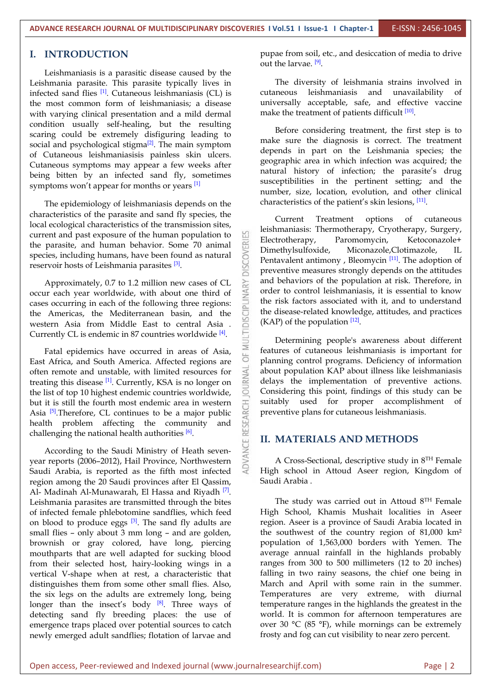#### **I. INTRODUCTION**

Leishmaniasis is a parasitic disease caused by the Leishmania parasite. This parasite typically lives in infected sand flies <sup>[1]</sup>. Cutaneous leishmaniasis (CL) is cutaneous the most common form of leishmaniasis; a disease with varying clinical presentation and a mild dermal condition usually self-healing, but the resulting scaring could be extremely disfiguring leading to social and psychological stigma<sup>[2]</sup>. The main symptom  $\frac{1}{1}$  and  $\frac{1}{2}$  in the diagnosis is of Cutaneous leishmaniasisis painless skin ulcers. Cutaneous symptoms may appear a few weeks after being bitten by an infected sand fly, sometimes symptoms won't appear for months or years <sup>[1]</sup>

The epidemiology of leishmaniasis depends on the characteristics of the parasite and sand fly species, the local ecological characteristics of the transmission sites, current and past exposure of the human population to<br>the parasite, and human behavior. Some 70 animal<br>species, including humans, have been found as natural<br>reservoir hosts of Leishmania parasites  $\begin{bmatrix} 3 \end{bmatrix}$ . the parasite, and human behavior. Some 70 animal  $\Box$  Dimethylsulfoxide, species, including humans, have been found as natural reservoir hosts of Leishmania parasites [3].

Approximately, 0.7 to 1.2 million new cases of CL<br>
ur each year worldwide, with about one third of<br>
es occurring in each of the following three regions:<br>
Americas, the Mediterranean basin, and the<br>
tern Asia from Middle E occur each year worldwide, with about one third of cases occurring in each of the following three regions: the Americas, the Mediterranean basin, and the western Asia from Middle East to central Asia . Currently CL is endemic in 87 countries worldwide  $[4]$ .

Fatal epidemics have occurred in areas of Asia,  $\frac{a}{b}$ <br>t Africa and South America, Afforted regions are East Africa, and South America. Affected regions are<br>often remote and unstable, with limited resources for<br>treating this disease <sup>[1]</sup>. Currently, KSA is no longer on often remote and unstable, with limited resources for treating this disease  $\left[1\right]$ . Currently, KSA is no longer on  $\mathbb{R}$  delays the imp the list of top 10 highest endemic countries worldwide, but it is still the fourth most endemic area in western Asia  $\left[5\right]$ . Therefore, CL continues to be a major public  $\leq$  preventive health problem affecting the community and challenging the national health authorities  $[6]$ .

According to the Saudi Ministry of Heath sevenyear reports (2006–2012), Hail Province, Northwestern Saudi Arabia, is reported as the fifth most infected region among the 20 Saudi provinces after El Qassim, Al- Madinah Al-Munawarah, El Hassa and Riyadh <sup>[7]</sup>. Leishmania parasites are transmitted through the bites of infected female phlebotomine sandflies, which feed on blood to produce eggs <sup>[3]</sup>. The sand fly adults are region. Asee small flies – only about 3 mm long – and are golden, brownish or gray colored, have long, piercing mouthparts that are well adapted for sucking blood from their selected host, hairy-looking wings in a vertical V-shape when at rest, a characteristic that distinguishes them from some other small flies. Also, the six legs on the adults are extremely long, being longer than the insect's body <sup>[8]</sup>. Three ways of tempe detecting sand fly breeding places: the use of emergence traps placed over potential sources to catch newly emerged adult sandflies; flotation of larvae and

pupae from soil, etc., and desiccation of media to drive out the larvae. <sup>[9]</sup>.

The diversity of leishmania strains involved in cutaneous leishmaniasis and unavailability of universally acceptable, safe, and effective vaccine make the treatment of patients difficult <sup>[10]</sup>.

Before considering treatment, the first step is to make sure the diagnosis is correct. The treatment depends in part on the Leishmania species; the geographic area in which infection was acquired; the natural history of infection; the parasite's drug susceptibilities in the pertinent setting; and the number, size, location, evolution, and other clinical characteristics of the patient's skin lesions, [11].

Treatment options of cutaneous leishmaniasis: Thermotherapy, Cryotherapy, Surgery, Paromomycin, Ketoconazole+ Miconazole,Clotimazole, IL Pentavalent antimony, Bleomycin<sup>[11]</sup>. The adoption of preventive measures strongly depends on the attitudes and behaviors of the population at risk. Therefore, in order to control leishmaniasis, it is essential to know the risk factors associated with it, and to understand the disease-related knowledge, attitudes, and practices  $(KAP)$  of the population  $[12]$ .

Determining people's awareness about different features of cutaneous leishmaniasis is important for planning control programs. Deficiency of information about population KAP about illness like leishmaniasis delays the implementation of preventive actions. Considering this point, findings of this study can be suitably used for proper accomplishment of preventive plans for cutaneous leishmaniasis.

#### **II. MATERIALS AND METHODS**

A Cross-Sectional, descriptive study in  $8<sup>TH</sup>$  Female High school in Attoud Aseer region, Kingdom of Saudi Arabia .

The study was carried out in Attoud  $8<sup>TH</sup>$  Female High School, Khamis Mushait localities in Aseer region. Aseer is a province of Saudi Arabia located in the southwest of the country region of 81,000 km² population of 1,563,000 borders with Yemen. The average annual rainfall in the highlands probably ranges from 300 to 500 millimeters (12 to 20 inches) falling in two rainy seasons, the chief one being in March and April with some rain in the summer. Temperatures are very extreme, with diurnal temperature ranges in the highlands the greatest in the world. It is common for afternoon temperatures are over 30 °C (85 °F), while mornings can be extremely frosty and fog can cut visibility to near zero percent.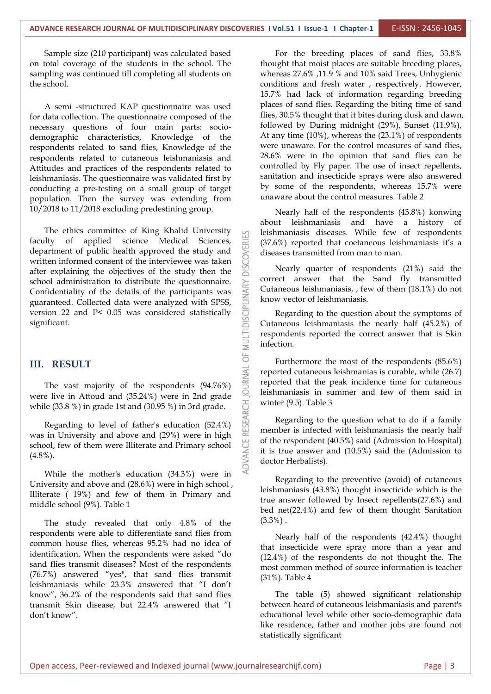Sample size (210 participant) was calculated based on total coverage of the students in the school. The sampling was continued till completing all students on the school.

A semi -structured KAP questionnaire was used for data collection. The questionnaire composed of the necessary questions of four main parts: socio demographic characteristics, Knowledge of the respondents related to sand flies, Knowledge of the respondents related to cutaneous leishmaniasis and Attitudes and practices of the respondents related to leishmaniasis. The questionnaire was validated first by conducting a pre-testing on a small group of target population. Then the survey was extending from 10/2018 to 11/2018 excluding predestining group.

The ethics committee of King Khalid University faculty of applied science Medical Sciences, department of public health approved the study and<br>written informed consent of the interviewee was taken<br>after explaining the objectives of the study then the written informed consent of the interviewee was taken after explaining the objectives of the study then the school administration to distribute the questionnaire.<br>Confidentiality of the details of the participants was<br>guaranteed. Collected data were analyzed with SPSS,<br>version 22 and P< 0.05 was considered statistically<br>signifi Confidentiality of the details of the participants was guaranteed. Collected data were analyzed with SPSS, version 22 and P< 0.05 was considered statistically significant.

#### **III. RESULT**

**THE VALUATE VALUATE:**<br>The vast majority of the respondents  $(94.76%)$ <br>is live in Attend and  $(35.24%)$  were in 2nd grade while (33.8 %) in grade 1st and (30.95 %) in 3rd grade.

were live in Attoud and (35.24%) were in 2nd grade<br>while (33.8 %) in grade 1st and (30.95 %) in 3rd grade.<br>Regarding to level of father's education (52.4%)<br>was in University and above and (29%) were in high<br>school, few of Regarding to level of father's education  $(52.4\%)$ was in University and above and (29%) were in high school, few of them were Illiterate and Primary school (4.8%).

While the mother's education (34.3%) were in University and above and (28.6%) were in high school , Illiterate ( 19%) and few of them in Primary and middle school (9%). Table 1

The study revealed that only 4.8% of the respondents were able to differentiate sand flies from common house flies, whereas 95.2% had no idea of identification. When the respondents were asked "do sand flies transmit diseases? Most of the respondents (76.7%) answered "yes", that sand flies transmit leishmaniasis while 23.3% answered that "I don't know", 36.2% of the respondents said that sand flies transmit Skin disease, but 22.4% answered that "I don't know".

For the breeding places of sand flies, 33.8% thought that moist places are suitable breeding places, whereas 27.6% ,11.9 % and 10% said Trees, Unhygienic conditions and fresh water , respectively. However, 15.7% had lack of information regarding breeding places of sand flies. Regarding the biting time of sand flies, 30.5% thought that it bites during dusk and dawn, followed by During midnight (29%), Sunset (11.9%), At any time (10%), whereas the (23.1%) of respondents were unaware. For the control measures of sand flies, 28.6% were in the opinion that sand flies can be controlled by Fly paper. The use of insect repellents, sanitation and insecticide sprays were also answered by some of the respondents, whereas 15.7% were unaware about the control measures. Table 2

Nearly half of the respondents (43.8%) konwing about leishmaniasis and have a history of leishmaniasis diseases. While few of respondents (37.6%) reported that coetaneous leishmaniasis it's a diseases transmitted from man to man.

Nearly quarter of respondents (21%) said the correct answer that the Sand fly transmitted Cutaneous leishmaniasis, , few of them (18.1%) do not know vector of leishmaniasis.

Regarding to the question about the symptoms of Cutaneous leishmaniasis the nearly half (45.2%) of respondents reported the correct answer that is Skin infection.

Furthermore the most of the respondents (85.6%) reported cutaneous leishmanias is curable, while (26.7) reported that the peak incidence time for cutaneous leishmaniasis in summer and few of them said in winter (9.5). Table 3

Regarding to the question what to do if a family member is infected with leishmaniasis the nearly half of the respondent (40.5%) said (Admission to Hospital) it is true answer and (10.5%) said the (Admission to doctor Herbalists).

Regarding to the preventive (avoid) of cutaneous leishmaniasis (43.8%) thought insecticide which is the true answer followed by Insect repellents(27.6%) and bed net $(22.4\%)$  and few of them thought Sanitation  $(3.3\%)$ .

Nearly half of the respondents (42.4%) thought that insecticide were spray more than a year and (12.4%) of the respondents do not thought the. The most common method of source information is teacher (31%). Table 4

The table (5) showed significant relationship between heard of cutaneous leishmaniasis and parent's educational level while other socio-demographic data like residence, father and mother jobs are found not statistically significant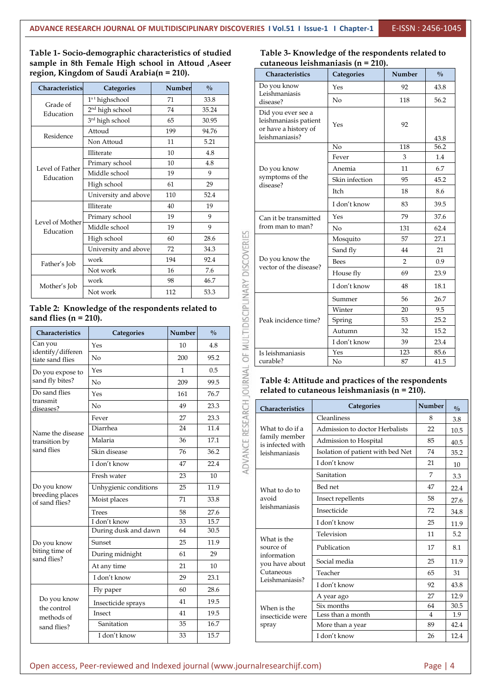**Table 1- Socio-demographic characteristics of studied sample in 8th Female High school in Attoud ,Aseer region, Kingdom of Saudi Arabia(n = 210).**

| Characteristics              | <b>Categories</b>           | Number | $\frac{0}{0}$ |                    | Do you know<br>Leishmaniasis           |  |
|------------------------------|-----------------------------|--------|---------------|--------------------|----------------------------------------|--|
| Grade of                     | $1st$ highschool            | 71     | 33.8          |                    | disease?                               |  |
| Education                    | 2 <sup>nd</sup> high school | 74     | 35.24         |                    | Did you ever see a                     |  |
|                              | 3 <sup>rd</sup> high school | 65     | 30.95         |                    | leishmaniasis patient                  |  |
| Residence                    | Attoud                      | 199    | 94.76         |                    | or have a history of<br>leishmaniasis? |  |
|                              | Non Attoud                  | 11     | 5.21          |                    |                                        |  |
|                              | Illiterate                  | 10     | 4.8           |                    |                                        |  |
| Level of Father              | Primary school              | 10     | 4.8           |                    |                                        |  |
| Education                    | Middle school               | 19     | 9             |                    | Do you know<br>symptoms of the         |  |
|                              | High school                 | 61     | 29            |                    | disease?                               |  |
|                              | University and above        | 110    | 52.4          |                    |                                        |  |
| Level of Mother<br>Education | Illiterate                  | 40     | 19            |                    |                                        |  |
|                              | Primary school              | 19     | 9             |                    | Can it be transmitted                  |  |
|                              | Middle school               | 19     | 9             |                    | from man to man?                       |  |
|                              | High school                 | 60     | 28.6          | <b>DISCOVERIES</b> |                                        |  |
|                              | University and above        | 72     | 34.3          |                    |                                        |  |
| Father's Job                 | work                        | 194    | 92.4          |                    | Do you know the                        |  |
|                              | Not work                    | 16     | 7.6           |                    | vector of the disease?                 |  |
| Mother's Job                 | work                        | 98     | 46.7          |                    |                                        |  |
|                              | Not work                    | 112    | 53.3          | VARY               |                                        |  |

**sand flies (n = 210).**

| Education<br>Father's Job<br>Mother's Job               | High school<br>University and above<br>work<br>Not work<br>work<br>Not work<br>Table 2: Knowledge of the respondents related to | 60<br>72<br>194<br>16<br>98<br>112 | 28.6<br>34.3<br>92.4<br>7.6<br>46.7<br>53.3 | ADVANCE RESEARCH JOURNAL OF MULTIDISCIPLINARY DISCOVERIES | Do you know the<br>vector of the disease?                                                |                         |
|---------------------------------------------------------|---------------------------------------------------------------------------------------------------------------------------------|------------------------------------|---------------------------------------------|-----------------------------------------------------------|------------------------------------------------------------------------------------------|-------------------------|
|                                                         |                                                                                                                                 |                                    |                                             |                                                           |                                                                                          |                         |
|                                                         |                                                                                                                                 |                                    |                                             |                                                           |                                                                                          |                         |
|                                                         |                                                                                                                                 |                                    |                                             |                                                           |                                                                                          |                         |
|                                                         |                                                                                                                                 |                                    |                                             |                                                           |                                                                                          |                         |
|                                                         |                                                                                                                                 |                                    |                                             |                                                           |                                                                                          |                         |
|                                                         |                                                                                                                                 |                                    |                                             |                                                           |                                                                                          |                         |
| sand flies ( $n = 210$ ).                               |                                                                                                                                 |                                    |                                             |                                                           | Peak incidence time?                                                                     |                         |
| Characteristics                                         | Categories                                                                                                                      | Number                             | $\frac{0}{0}$                               |                                                           |                                                                                          |                         |
| Can you<br>identify/differen                            | Yes                                                                                                                             | 10                                 | 4.8                                         |                                                           |                                                                                          |                         |
| tiate sand flies                                        | $\rm No$                                                                                                                        | 200                                | 95.2                                        |                                                           | Is leishmaniasis<br>curable?                                                             |                         |
| Do you expose to                                        | Yes                                                                                                                             | $\mathbf{1}$                       | 0.5                                         |                                                           |                                                                                          |                         |
| sand fly bites?                                         | No                                                                                                                              | 209                                | 99.5                                        |                                                           | Table 4: Attitude a                                                                      |                         |
| Do sand flies                                           | Yes                                                                                                                             | 161                                | 76.7                                        |                                                           | related to cutaneo                                                                       |                         |
| transmit<br>diseases?                                   | No                                                                                                                              | 49                                 | 23.3                                        |                                                           | Characteristics                                                                          |                         |
|                                                         | Fever                                                                                                                           | 27                                 | 23.3                                        |                                                           |                                                                                          | Clea                    |
| Name the disease<br>transition by<br>sand flies         | Diarrhea                                                                                                                        | 24                                 | 11.4                                        |                                                           | What to do if a                                                                          | Adr                     |
|                                                         | Malaria                                                                                                                         | 36                                 | 17.1                                        |                                                           | family member<br>is infected with                                                        | Adr                     |
|                                                         | Skin disease                                                                                                                    | 76                                 | 36.2                                        |                                                           | leishmaniasis                                                                            | Isol                    |
|                                                         | I don't know                                                                                                                    | 47                                 | 22.4                                        |                                                           |                                                                                          | I do                    |
|                                                         | Fresh water                                                                                                                     | 23                                 | 10                                          |                                                           | What to do to<br>avoid<br>leishmaniasis                                                  | San                     |
| Do you know                                             | Unhygienic conditions                                                                                                           | 25                                 | 11.9                                        |                                                           |                                                                                          | Bed                     |
| breeding places<br>of sand flies?                       | Moist places                                                                                                                    | 71                                 | 33.8                                        |                                                           |                                                                                          | Inse                    |
|                                                         | <b>Trees</b>                                                                                                                    | 58                                 | 27.6                                        |                                                           |                                                                                          | Inse                    |
|                                                         | I don't know                                                                                                                    | 33                                 | 15.7                                        |                                                           |                                                                                          | I do                    |
| Do you know<br>biting time of<br>sand flies?            | During dusk and dawn                                                                                                            | 64                                 | 30.5                                        |                                                           | What is the<br>source of<br>information<br>you have about<br>Cutaneous<br>Leishmaniasis? | Tele                    |
|                                                         | Sunset                                                                                                                          | 25                                 | 11.9                                        |                                                           |                                                                                          | Pub                     |
|                                                         | During midnight                                                                                                                 | 61                                 | 29                                          |                                                           |                                                                                          |                         |
|                                                         | At any time                                                                                                                     | 21                                 | 10                                          |                                                           |                                                                                          | Soci                    |
|                                                         | I don't know                                                                                                                    | 29                                 | 23.1                                        |                                                           |                                                                                          | Tea                     |
| Do you know<br>the control<br>methods of<br>sand flies? | Fly paper                                                                                                                       | 60                                 | 28.6                                        |                                                           |                                                                                          | I do                    |
|                                                         | Insecticide sprays                                                                                                              | 41                                 | 19.5                                        |                                                           |                                                                                          | A y<br>Six <sub>1</sub> |
|                                                         | Insect                                                                                                                          | 41                                 | 19.5                                        |                                                           | When is the<br>insecticide were                                                          | Less                    |
|                                                         | Sanitation                                                                                                                      | 35                                 | 16.7                                        |                                                           | spray                                                                                    | Mor                     |
|                                                         | I don't know                                                                                                                    | 33                                 | 15.7                                        |                                                           |                                                                                          | I do                    |

**Table 3- Knowledge of the respondents related to cutaneous leishmaniasis (n = 210).**

| Characteristics                                                                       | Categories     | Number         | $\frac{0}{0}$ |
|---------------------------------------------------------------------------------------|----------------|----------------|---------------|
| Do you know<br>Leishmaniasis<br>disease?                                              | Yes            | 92             | 43.8          |
|                                                                                       | No             | 118            | 56.2          |
| Did you ever see a<br>leishmaniasis patient<br>or have a history of<br>leishmaniasis? | Yes            | 92             | 43.8          |
|                                                                                       | No             | 118            | 56.2          |
|                                                                                       | Fever          | 3              | 1.4           |
| Do you know                                                                           | Anemia         | 11             | 6.7           |
| symptoms of the<br>disease?                                                           | Skin infection | 95             | 45.2          |
|                                                                                       | Itch           | 18             | 8.6           |
|                                                                                       | I don't know   | 83             | 39.5          |
| Can it be transmitted                                                                 | Yes            | 79             | 37.6          |
| from man to man?                                                                      | No             | 131            | 62.4          |
|                                                                                       | Mosquito       | 57             | 27.1          |
|                                                                                       | Sand fly       | 44             | 21            |
| Do you know the<br>vector of the disease?                                             | <b>Bees</b>    | $\overline{2}$ | 0.9           |
|                                                                                       | House fly      | 69             | 23.9          |
|                                                                                       | I don't know   | 48             | 18.1          |
|                                                                                       | Summer         | 56             | 26.7          |
|                                                                                       | Winter         | 20             | 9.5           |
| Peak incidence time?                                                                  | Spring         | 53             | 25.2          |
|                                                                                       | Autumn         | 32             | 15.2          |
|                                                                                       | I don't know   | 39             | 23.4          |
| Is leishmaniasis                                                                      | Yes            | 123            | 85.6          |
| curable?                                                                              | No             | 87             | 41.5          |

#### No 209 99.5 **Table 4: Attitude and practices of the respondents related to cutaneous leishmaniasis (n = 210).**

| Characteristics                   | Categories                        | Number | $\frac{0}{0}$ |
|-----------------------------------|-----------------------------------|--------|---------------|
|                                   | Cleanliness                       | 8      | 3.8           |
| What to do if a                   | Admission to doctor Herbalists    | 22     | 10.5          |
| family member<br>is infected with | Admission to Hospital             | 85     | 40.5          |
| leishmaniasis                     | Isolation of patient with bed Net | 74     | 35.2          |
|                                   | I don't know                      | 21     | 10            |
|                                   | Sanitation                        | 7      | 3.3           |
| What to do to                     | Bed net                           | 47     | 22.4          |
| avoid                             | Insect repellents                 | 58     | 27.6          |
| leishmaniasis                     | Insecticide                       | 72     | 34.8          |
|                                   | I don't know                      | 25     | 11.9          |
| What is the                       | Television                        | 11     | 5.2           |
| source of                         | Publication                       | 17     | 8.1           |
| information<br>you have about     | Social media                      | 25     | 11.9          |
| Cutaneous<br>Leishmaniasis?       | Teacher                           | 65     | 31            |
|                                   | I don't know                      | 92     | 43.8          |
|                                   | A year ago                        | 27     | 12.9          |
| When is the                       | Six months                        | 64     | 30.5          |
| insecticide were                  | Less than a month                 | 4      | 1.9           |
| spray                             | More than a year                  | 89     | 42.4          |
|                                   | I don't know                      | 26     | 12.4          |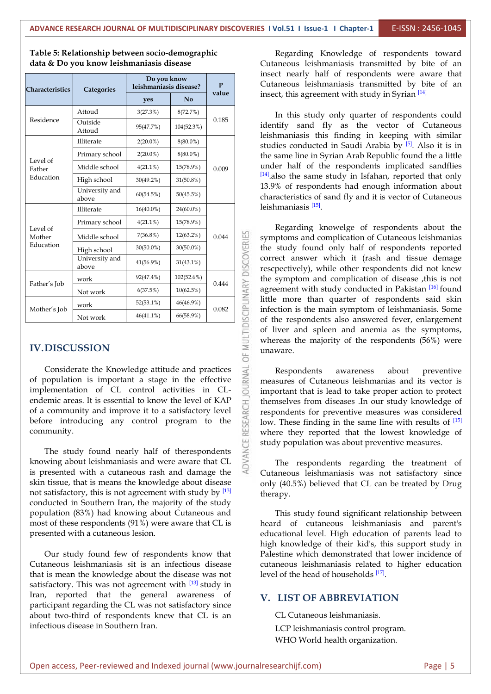| Characteristics                 | Categories              | Do you know<br>leishmaniasis disease? |              |       | Cutaneo                                                                                                                                                                                                                            |
|---------------------------------|-------------------------|---------------------------------------|--------------|-------|------------------------------------------------------------------------------------------------------------------------------------------------------------------------------------------------------------------------------------|
|                                 |                         | yes                                   | No           | value | insect, th                                                                                                                                                                                                                         |
| Residence                       | Attoud                  | 3(27.3%)                              | 8(72.7%)     |       | In th                                                                                                                                                                                                                              |
|                                 | Outside<br>Attoud       | 95(47.7%)                             | 104(52.3%)   | 0.185 | identify<br>leishmar                                                                                                                                                                                                               |
|                                 | Illiterate              | $2(20.0\%)$                           | $8(80.0\%)$  |       | studies o                                                                                                                                                                                                                          |
| Level of                        | Primary school          | $2(20.0\%)$                           | 8(80.0%)     |       | the same<br>under h<br>$[14]$ .also t<br>13.9% of<br>character<br>leishmar<br>Rega<br>OF MULTIDISCIPLINARY DISCOVERIES<br>sympton<br>the stud<br>correct<br>rescpecti<br>the sym<br>agreeme<br>little mo<br>infection<br>of the re |
| Father                          | Middle school           | $4(21.1\%)$                           | 15(78.9%)    | 0.009 |                                                                                                                                                                                                                                    |
| Education                       | High school             | $30(49.2\%)$                          | $31(50.8\%)$ |       |                                                                                                                                                                                                                                    |
|                                 | University and<br>above | 60(54.5%)                             | 50(45.5%)    |       |                                                                                                                                                                                                                                    |
| Level of<br>Mother<br>Education | Illiterate              | $16(40.0\%)$                          | 24(60.0%)    |       |                                                                                                                                                                                                                                    |
|                                 | Primary school          | $4(21.1\%)$                           | 15(78.9%)    |       |                                                                                                                                                                                                                                    |
|                                 | Middle school           | $7(36.8\%)$                           | 12(63.2%)    | 0.044 |                                                                                                                                                                                                                                    |
|                                 | High school             | $30(50.0\%)$                          | $30(50.0\%)$ |       |                                                                                                                                                                                                                                    |
|                                 | University and<br>above | 41(56.9%)                             | $31(43.1\%)$ |       |                                                                                                                                                                                                                                    |
| Father's Job                    | work                    | 92(47.4%)                             | 102(52.6%)   | 0.444 |                                                                                                                                                                                                                                    |
|                                 | Not work                | 6(37.5%)                              | $10(62.5\%)$ |       |                                                                                                                                                                                                                                    |
|                                 | work                    | $52(53.1\%)$                          | 46(46.9%)    | 0.082 |                                                                                                                                                                                                                                    |
| Mother's Job                    | Not work                | $46(41.1\%)$                          | 66(58.9%)    |       |                                                                                                                                                                                                                                    |
| <b>IV.DISCUSSION</b>            |                         |                                       |              |       | of liver<br>whereas<br>unaware                                                                                                                                                                                                     |

**Table 5: Relationship between socio-demographic data & Do you know leishmaniasis disease**

Considerate the Knowledge attitude and practices<br>population is important a stage in the effective<br>lementation of CL control activities in CLof population is important a stage in the effective implementation of CL control activities in CL endemic areas. It is essential to know the level of KAP of a community and improve it to a satisfactory level before introducing any control program to the  $\begin{bmatrix} 0 & 0 \\ 0 & 0 \\ 0 & 0 \\ 0 & 0 \end{bmatrix}$  community. of a community and improve it to a satisfactory level before introducing any control program to the community.

The study found nearly half of therespondents knowing about leishmaniasis and were aware that CL is presented with a cutaneous rash and damage the skin tissue, that is means the knowledge about disease not satisfactory, this is not agreement with study by  $[13]$  therapy. conducted in Southern Iran, the majority of the study population (83%) had knowing about Cutaneous and most of these respondents (91%) were aware that CL is presented with a cutaneous lesion.

Our study found few of respondents know that Cutaneous leishmaniasis sit is an infectious disease that is mean the knowledge about the disease was not satisfactory. This was not agreement with <sup>[13]</sup> study in Iran, reported that the general awareness of participant regarding the CL was not satisfactory since about two-third of respondents knew that CL is an infectious disease in Southern Iran.

**leishmaniasis disease? P** Cutaneous leishmaniasis transmitted by bite of an **value yes No value n i**nsect, this agreement with study in Syrian <sup>[14]</sup> Regarding Knowledge of respondents toward Cutaneous leishmaniasis transmitted by bite of an insect nearly half of respondents were aware that

> $_{0.009}$  under half of the respondents implicated sandflies In this study only quarter of respondents could identify sand fly as the vector of Cutaneous leishmaniasis this finding in keeping with similar studies conducted in Saudi Arabia by <sup>[5]</sup>. Also it is in the same line in Syrian Arab Republic found the a little [14].also the same study in Isfahan, reported that only 13.9% of respondents had enough information about characteristics of sand fly and it is vector of Cutaneous leishmaniasis <sup>[15]</sup>.

0.044 Symptoms and complication of Cutaneous leishmanias  $\frac{0.444}{\approx}$  agreement with study conducted in Pakistan  $\frac{[16]}{[16]}$  found 0.082  $\Box$  infection is the main symptom of leishmaniasis. Some Regarding knowelge of respondents about the the study found only half of respondents reported correct answer which it (rash and tissue demage rescpectively), while other respondents did not knew the symptom and complication of disease ,this is not little more than quarter of respondents said skin of the respondents also answered fever, enlargement of liver and spleen and anemia as the symptoms, whereas the majority of the respondents (56%) were unaware.

> Respondents awareness about preventive measures of Cutaneous leishmanias and its vector is important that is lead to take proper action to protect themselves from diseases .In our study knowledge of respondents for preventive measures was considered low. These finding in the same line with results of <sup>[15]</sup> where they reported that the lowest knowledge of study population was about preventive measures.

The respondents regarding the treatment of Cutaneous leishmaniasis was not satisfactory since only (40.5%) believed that CL can be treated by Drug therapy.

This study found significant relationship between heard of cutaneous leishmaniasis and parent's educational level. High education of parents lead to high knowledge of their kid's, this support study in Palestine which demonstrated that lower incidence of cutaneous leishmaniasis related to higher education level of the head of households [17].

#### **V. LIST OF ABBREVIATION**

CL Cutaneous leishmaniasis.

LCP leishmaniasis control program. WHO World health organization.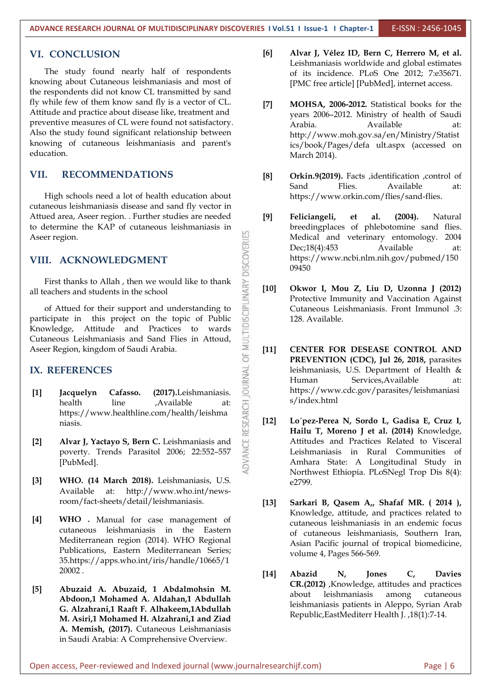#### **VI. CONCLUSION**

The study found nearly half of respondents knowing about Cutaneous leishmaniasis and most of the respondents did not know CL transmitted by sand fly while few of them know sand fly is a vector of CL. Attitude and practice about disease like, treatment and preventive measures of CL were found not satisfactory. Also the study found significant relationship between knowing of cutaneous leishmaniasis and parent's education.

#### **VII. RECOMMENDATIONS**

High schools need a lot of health education about cutaneous leishmaniasis disease and sand fly vector in Attued area, Aseer region. . Further studies are needed Aseer region.

#### **VIII. ACKNOWLEDGMENT**

First thanks to Allah, then we would like to thank  $\geq$  [10] all teachers and students in the school

to determine the KAP of cutaneous leishmaniasis in<br>Aseer region.<br>
VIII. ACKNOWLEDGMENT<br>
First thanks to Allah , then we would like to thank<br>
all teachers and students in the school<br>
of Attued for their support and understa of Attued for their support and understanding to participate in this project on the topic of Public Knowledge, Attitude and Practices to wards Cutaneous Leishmaniasis and Sand Flies in Attoud, Aseer Region, kingdom of Saudi Arabia.

#### **IX. REFERENCES**

- **[1] Jacquelyn Cafasso.** (2017).Leishmaniasis.<br>
health line ,Available at: Https://www.healthline.com/health/leishmaniasis.<br> **[2]** Alvar J, Yactayo S, Bern C. Leishmaniasis and poverty. Trends Parasitol 2006; 22:552-557 health line .Available at: https://www.healthline.com/health/leishma niasis.
- **[2] Alvar J, Yactayo S, Bern C.** Leishmaniasis and poverty. Trends Parasitol 2006; 22:552–557 [PubMed].
- **[3] WHO. (14 March 2018).** Leishmaniasis, U.S. Available at: http://www.who.int/news room/fact-sheets/detail/leishmaniasis.
- **[4] WHO .** Manual for case management of cutaneous leishmaniasis in the Eastern Mediterranean region (2014). WHO Regional Publications, Eastern Mediterranean Series; 35.https://apps.who.int/iris/handle/10665/1 20002 .
- **[5] Abuzaid A. Abuzaid, 1 Abdalmohsin M. Abdoon,1 Mohamed A. Aldahan,1 Abdullah G. Alzahrani,1 Raaft F. Alhakeem,1Abdullah M. Asiri,1 Mohamed H. Alzahrani,1 and Ziad A. Memish, (2017).** Cutaneous Leishmaniasis in Saudi Arabia: A Comprehensive Overview.
- **[6] Alvar J, Vélez ID, Bern C, Herrero M, et al.** Leishmaniasis worldwide and global estimates of its incidence. PLoS One 2012; 7:e35671. [PMC free article] [PubMed], internet access.
- **[7] MOHSA, 2006-2012.** Statistical books for the years 2006–2012. Ministry of health of Saudi Arabia. Available at: http://www.moh.gov.sa/en/Ministry/Statist ics/book/Pages/defa ult.aspx (accessed on March 2014).
- **[8] Orkin.9(2019).** Facts ,identification ,control of Sand Flies. Available at: https://www.orkin.com/flies/sand-flies.
- **[9] Feliciangeli, et al. (2004).** Natural breedingplaces of phlebotomine sand flies. Medical and veterinary entomology. 2004 Dec;18(4):453 Available at: https://www.ncbi.nlm.nih.gov/pubmed/150 09450
- **[10] Okwor I, Mou Z, Liu D, Uzonna J (2012)** Protective Immunity and Vaccination Against Cutaneous Leishmaniasis. Front Immunol .3: 128. Available.
- **[11] CENTER FOR DESEASE CONTROL AND PREVENTION (CDC), Jul 26,2018,** parasites leishmaniasis, U.S. Department of Health & Human Services,Available at: https://www.cdc.gov/parasites/leishmaniasi s/index.html
- **[12] Lo´pez-Perea N, Sordo L, Gadisa E, Cruz I, Hailu T, Moreno J et al.(2014)** Knowledge, Attitudes and Practices Related to Visceral Leishmaniasis in Rural Communities of Amhara State: A Longitudinal Study in Northwest Ethiopia. PLoSNegl Trop Dis 8(4): e2799.
- **[13] Sarkari B, Qasem A,, Shafaf MR. ( 2014 ),** Knowledge, attitude, and practices related to cutaneous leishmaniasis in an endemic focus of cutaneous leishmaniasis, Southern Iran, Asian Pacific journal of tropical biomedicine, volume 4, Pages 566-569.
- **[14] Abazid N, Jones C, Davies CR.(2012)** ,Knowledge, attitudes and practices leishmaniasis among cutaneous leishmaniasis patients in Aleppo, Syrian Arab Republic,EastMediterr Health J. ,18(1):7-14.